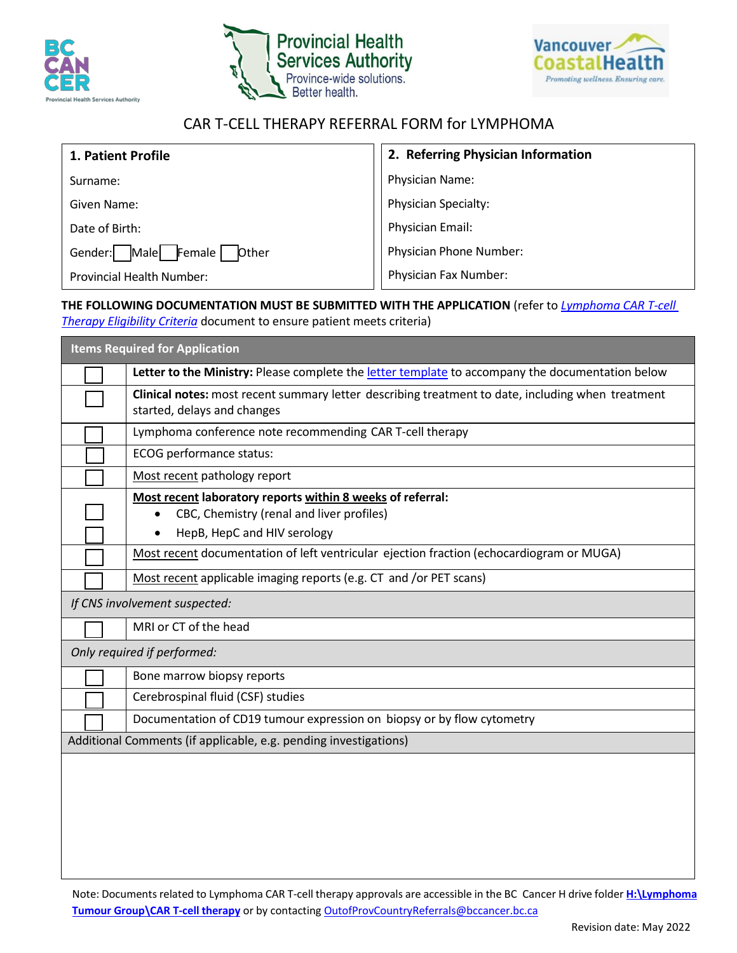





## CAR T-CELL THERAPY REFERRAL FORM for LYMPHOMA

| 1. Patient Profile                        | 2. Referring Physician Information |
|-------------------------------------------|------------------------------------|
| Surname:                                  | Physician Name:                    |
| Given Name:                               | Physician Specialty:               |
| Date of Birth:                            | Physician Email:                   |
| Female<br>Gender:<br>Male<br><b>Other</b> | Physician Phone Number:            |
| <b>Provincial Health Number:</b>          | Physician Fax Number:              |

## **THE FOLLOWING DOCUMENTATION MUST BE SUBMITTED WITH THE APPLICATION** (refer to *[Lymphoma](file://srvnetapp02.vch.ca/bcca/docs/Lymphoma%20Tumour%20Group/CAR%20T-cell%20therapy/CAR%20T%20Lymphoma%20Eligibility%20Criteria_May%2025_2021.pdf) CAR T-cell [Therapy Eligibility](file://srvnetapp02.vch.ca/bcca/docs/Lymphoma%20Tumour%20Group/CAR%20T-cell%20therapy/CAR%20T%20Lymphoma%20Eligibility%20Criteria_May%2025_2021.pdf) Criteria* document to ensure patient meets criteria)

 **Items Required for Application** Letter to the Ministry: Please complete the [letter template](file://srvnetapp02.vch.ca/bcca/docs/Lymphoma%20Tumour%20Group/CAR%20T-cell%20therapy/CAR%20T%20Physician%20Letter%20Template_2022.docx) to accompany the documentation below ☐ **Clinical notes:** most recent summary letter describing treatment to date, including when treatment started, delays and changes Lymphoma conference note recommending CAR T-cell therapy ☐ ECOG performance status: Most recent pathology report ☐ **Most recent laboratory reports within 8 weeks of referral:** • CBC, Chemistry (renal and liver profiles) • HepB, HepC and HIV serology Most recent documentation of left ventricular ejection fraction (echocardiogram or MUGA) Most recent applicable imaging reports (e.g. CT and /or PET scans)

*If CNS involvement suspected:*

MRI or CT of the head

*Only required if performed:*

|                                                                  | Bone marrow biopsy reports                                             |  |
|------------------------------------------------------------------|------------------------------------------------------------------------|--|
|                                                                  | Cerebrospinal fluid (CSF) studies                                      |  |
|                                                                  | Documentation of CD19 tumour expression on biopsy or by flow cytometry |  |
| Additional Comments (if applicable, e.g. pending investigations) |                                                                        |  |

Note: Documents related to Lymphoma CAR T-cell therapy approvals are accessible in the BC Cancer H drive folder **[H:\Lymphoma](file://srvnetapp02.vch.ca/bcca/docs/Lymphoma%20Tumour%20Group) Tumour [Group\CAR T-cell](file://srvnetapp02.vch.ca/bcca/docs/Lymphoma%20Tumour%20Group) therapy** or by contacting [OutofProvCountryReferrals@bccancer.bc.ca](mailto:OutofProvCountryReferrals@bccancer.bc.ca)